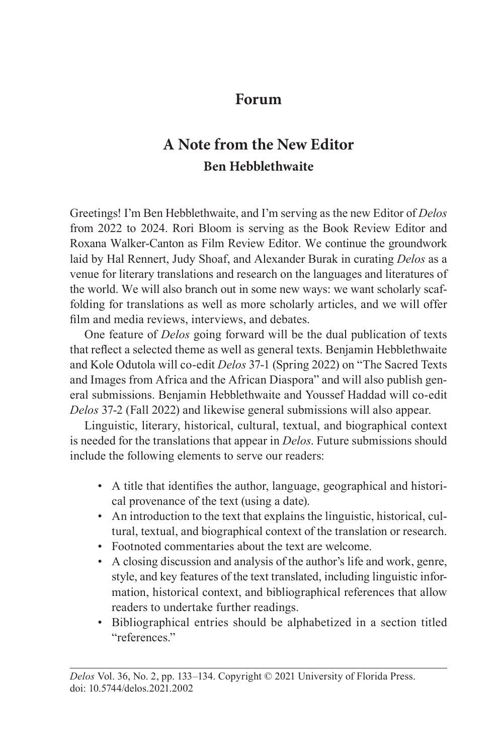### **Forum**

# **A Note from the New Editor Ben Hebblethwaite**

Greetings! I'm Ben Hebblethwaite, and I'm serving as the new Editor of *Delos* from 2022 to 2024. Rori Bloom is serving as the Book Review Editor and Roxana Walker-Canton as Film Review Editor. We continue the groundwork laid by Hal Rennert, Judy Shoaf, and Alexander Burak in curating *Delos* as a venue for literary translations and research on the languages and literatures of the world. We will also branch out in some new ways: we want scholarly scaffolding for translations as well as more scholarly articles, and we will offer film and media reviews, interviews, and debates.

One feature of *Delos* going forward will be the dual publication of texts that reflect a selected theme as well as general texts. Benjamin Hebblethwaite and Kole Odutola will co-edit *Delos* 37-1 (Spring 2022) on "The Sacred Texts and Images from Africa and the African Diaspora" and will also publish general submissions. Benjamin Hebblethwaite and Youssef Haddad will co-edit *Delos* 37-2 (Fall 2022) and likewise general submissions will also appear.

Linguistic, literary, historical, cultural, textual, and biographical context is needed for the translations that appear in *Delos*. Future submissions should include the following elements to serve our readers:

- A title that identifies the author, language, geographical and historical provenance of the text (using a date).
- An introduction to the text that explains the linguistic, historical, cultural, textual, and biographical context of the translation or research.
- Footnoted commentaries about the text are welcome.
- A closing discussion and analysis of the author's life and work, genre, style, and key features of the text translated, including linguistic information, historical context, and bibliographical references that allow readers to undertake further readings.
- Bibliographical entries should be alphabetized in a section titled "references."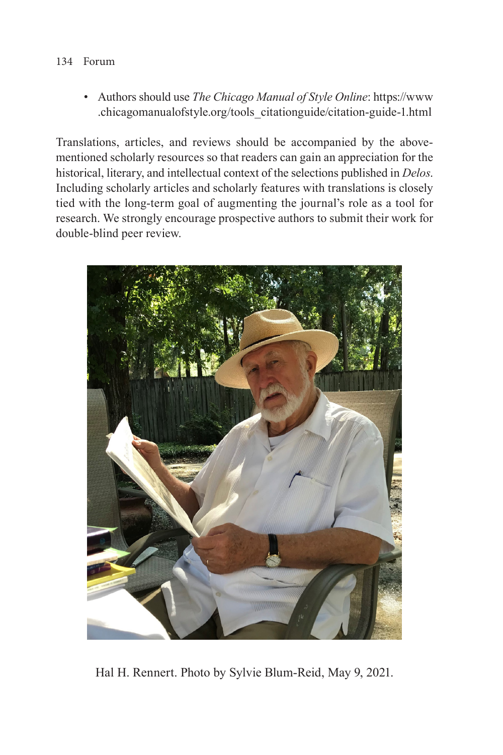### 134 Forum

• Authors should use *The Chicago Manual of Style Online*: [https://www](https://www.chicagomanualofstyle.org/tools_citationguide/citation-guide-1.html) [.chicagomanualofstyle.org/tools\\_citationguide/citation-guide-1.html](https://www.chicagomanualofstyle.org/tools_citationguide/citation-guide-1.html)

Translations, articles, and reviews should be accompanied by the abovementioned scholarly resources so that readers can gain an appreciation for the historical, literary, and intellectual context of the selections published in *Delos*. Including scholarly articles and scholarly features with translations is closely tied with the long-term goal of augmenting the journal's role as a tool for research. We strongly encourage prospective authors to submit their work for double-blind peer review.



Hal H. Rennert. Photo by Sylvie Blum-Reid, May 9, 2021.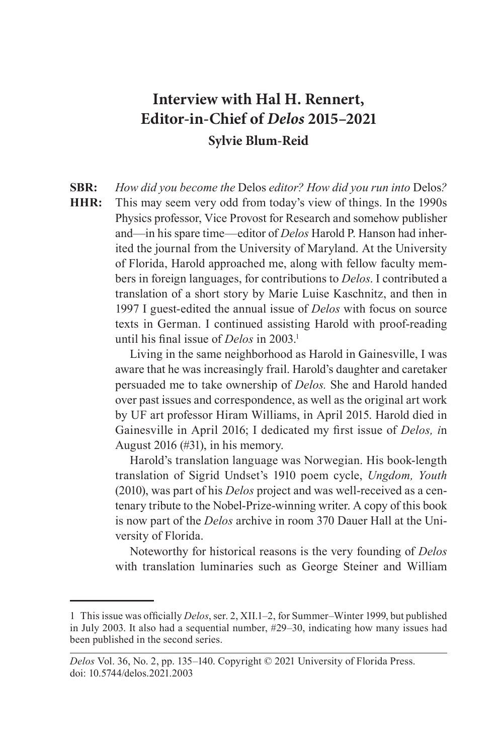## **Interview with Hal H. Rennert, Editor-in-Chief of** *Delos* **2015–2021 Sylvie Blum-Reid**

**SBR:** *How did you become the* Delos *editor? How did you run into* Delos*?*

**HHR:** This may seem very odd from today's view of things. In the 1990s Physics professor, Vice Provost for Research and somehow publisher and—in his spare time—editor of *Delos* Harold P. Hanson had inherited the journal from the University of Maryland. At the University of Florida, Harold approached me, along with fellow faculty members in foreign languages, for contributions to *Delos*. I contributed a translation of a short story by Marie Luise Kaschnitz, and then in 1997 I guest-edited the annual issue of *Delos* with focus on source texts in German. I continued assisting Harold with proof-reading until his final issue of *Delos* in 2003.<sup>1</sup>

> Living in the same neighborhood as Harold in Gainesville, I was aware that he was increasingly frail. Harold's daughter and caretaker persuaded me to take ownership of *Delos.* She and Harold handed over past issues and correspondence, as well as the original art work by UF art professor Hiram Williams, in April 2015. Harold died in Gainesville in April 2016; I dedicated my first issue of *Delos, i*n August 2016 (#31), in his memory.

> Harold's translation language was Norwegian. His book-length translation of Sigrid Undset's 1910 poem cycle, *Ungdom, Youth* (2010), was part of his *Delos* project and was well-received as a centenary tribute to the Nobel-Prize-winning writer. A copy of this book is now part of the *Delos* archive in room 370 Dauer Hall at the University of Florida.

> Noteworthy for historical reasons is the very founding of *Delos* with translation luminaries such as George Steiner and William

<sup>1</sup> This issue was officially *Delos*, ser. 2, XII.1–2, for Summer–Winter 1999, but published in July 2003. It also had a sequential number, #29–30, indicating how many issues had been published in the second series.

*Delos* Vol. 36, No. 2, pp. 135–140. Copyright © 2021 University of Florida Press. doi: 10.5744/delos.2021.2003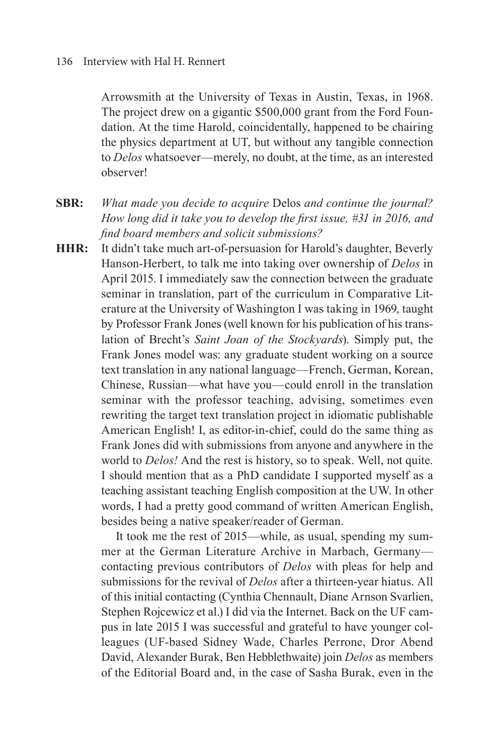#### 136 Interview with Hal H. Rennert

Arrowsmith at the University of Texas in Austin, Texas, in 1968. The project drew on a gigantic \$500,000 grant from the Ford Foundation. At the time Harold, coincidentally, happened to be chairing the physics department at UT, but without any tangible connection to *Delos* whatsoever—merely, no doubt, at the time, as an interested observer!

- **SBR:** *What made you decide to acquire* Delos *and continue the journal? How long did it take you to develop the first issue, #31 in 2016, and find board members and solicit submissions?*
- **HHR:** It didn't take much art-of-persuasion for Harold's daughter, Beverly Hanson-Herbert, to talk me into taking over ownership of *Delos* in April 2015. I immediately saw the connection between the graduate seminar in translation, part of the curriculum in Comparative Literature at the University of Washington I was taking in 1969, taught by Professor Frank Jones (well known for his publication of his translation of Brecht's *Saint Joan of the Stockyards*). Simply put, the Frank Jones model was: any graduate student working on a source text translation in any national language—French, German, Korean, Chinese, Russian—what have you—could enroll in the translation seminar with the professor teaching, advising, sometimes even rewriting the target text translation project in idiomatic publishable American English! I, as editor-in-chief, could do the same thing as Frank Jones did with submissions from anyone and anywhere in the world to *Delos!* And the rest is history, so to speak. Well, not quite. I should mention that as a PhD candidate I supported myself as a teaching assistant teaching English composition at the UW. In other words, I had a pretty good command of written American English, besides being a native speaker/reader of German.

It took me the rest of 2015—while, as usual, spending my summer at the German Literature Archive in Marbach, Germany contacting previous contributors of *Delos* with pleas for help and submissions for the revival of *Delos* after a thirteen-year hiatus. All of this initial contacting (Cynthia Chennault, Diane Arnson Svarlien, Stephen Rojcewicz et al.) I did via the Internet. Back on the UF campus in late 2015 I was successful and grateful to have younger colleagues (UF-based Sidney Wade, Charles Perrone, Dror Abend David, Alexander Burak, Ben Hebblethwaite) join *Delos* as members of the Editorial Board and, in the case of Sasha Burak, even in the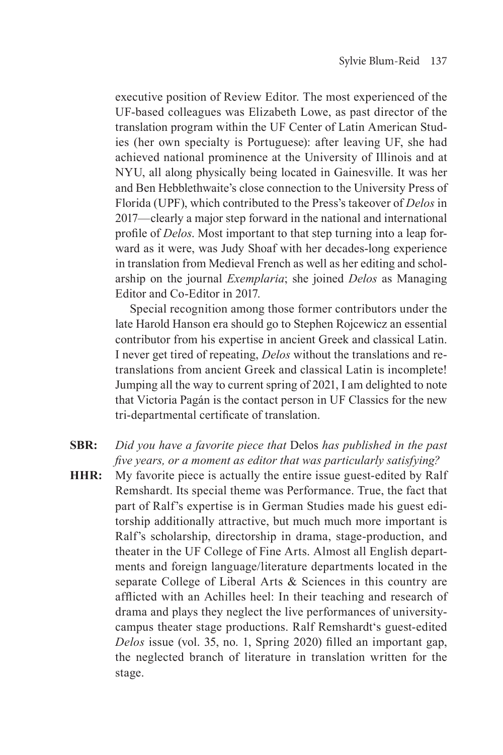executive position of Review Editor. The most experienced of the UF-based colleagues was Elizabeth Lowe, as past director of the translation program within the UF Center of Latin American Studies (her own specialty is Portuguese): after leaving UF, she had achieved national prominence at the University of Illinois and at NYU, all along physically being located in Gainesville. It was her and Ben Hebblethwaite's close connection to the University Press of Florida (UPF), which contributed to the Press's takeover of *Delos* in 2017—clearly a major step forward in the national and international profile of *Delos*. Most important to that step turning into a leap forward as it were, was Judy Shoaf with her decades-long experience in translation from Medieval French as well as her editing and scholarship on the journal *Exemplaria*; she joined *Delos* as Managing Editor and Co-Editor in 2017.

Special recognition among those former contributors under the late Harold Hanson era should go to Stephen Rojcewicz an essential contributor from his expertise in ancient Greek and classical Latin. I never get tired of repeating, *Delos* without the translations and retranslations from ancient Greek and classical Latin is incomplete! Jumping all the way to current spring of 2021, I am delighted to note that Victoria Pagán is the contact person in UF Classics for the new tri-departmental certificate of translation.

- **SBR:** *Did you have a favorite piece that* Delos *has published in the past five years, or a moment as editor that was particularly satisfying?*
- **HHR:** My favorite piece is actually the entire issue guest-edited by Ralf Remshardt. Its special theme was Performance. True, the fact that part of Ralf's expertise is in German Studies made his guest editorship additionally attractive, but much much more important is Ralf's scholarship, directorship in drama, stage-production, and theater in the UF College of Fine Arts. Almost all English departments and foreign language/literature departments located in the separate College of Liberal Arts & Sciences in this country are afflicted with an Achilles heel: In their teaching and research of drama and plays they neglect the live performances of universitycampus theater stage productions. Ralf Remshardt's guest-edited *Delos* issue (vol. 35, no. 1, Spring 2020) filled an important gap, the neglected branch of literature in translation written for the stage.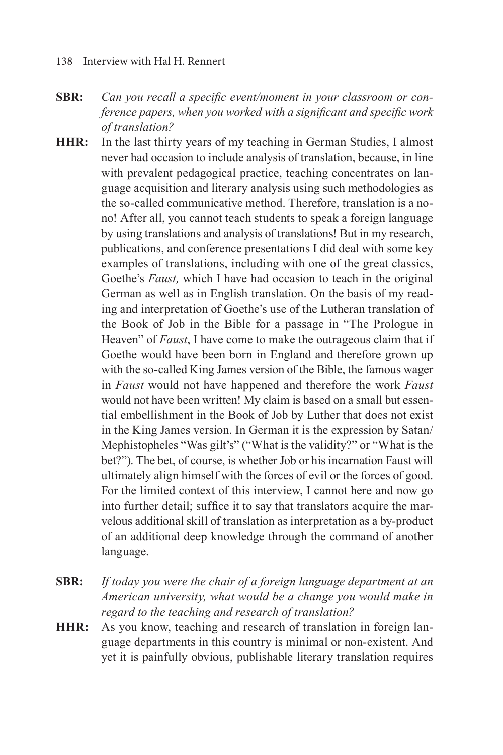#### 138 Interview with Hal H. Rennert

- **SBR:** *Can you recall a specific event/moment in your classroom or conference papers, when you worked with a significant and specific work of translation?*
- **HHR:** In the last thirty years of my teaching in German Studies, I almost never had occasion to include analysis of translation, because, in line with prevalent pedagogical practice, teaching concentrates on language acquisition and literary analysis using such methodologies as the so-called communicative method. Therefore, translation is a nono! After all, you cannot teach students to speak a foreign language by using translations and analysis of translations! But in my research, publications, and conference presentations I did deal with some key examples of translations, including with one of the great classics, Goethe's *Faust,* which I have had occasion to teach in the original German as well as in English translation. On the basis of my reading and interpretation of Goethe's use of the Lutheran translation of the Book of Job in the Bible for a passage in "The Prologue in Heaven" of *Faust*, I have come to make the outrageous claim that if Goethe would have been born in England and therefore grown up with the so-called King James version of the Bible, the famous wager in *Faust* would not have happened and therefore the work *Faust* would not have been written! My claim is based on a small but essential embellishment in the Book of Job by Luther that does not exist in the King James version. In German it is the expression by Satan/ Mephistopheles "Was gilt's" ("What is the validity?" or "What is the bet?"). The bet, of course, is whether Job or his incarnation Faust will ultimately align himself with the forces of evil or the forces of good. For the limited context of this interview, I cannot here and now go into further detail; suffice it to say that translators acquire the marvelous additional skill of translation as interpretation as a by-product of an additional deep knowledge through the command of another language.
- **SBR:** *If today you were the chair of a foreign language department at an American university, what would be a change you would make in regard to the teaching and research of translation?*
- **HHR:** As you know, teaching and research of translation in foreign language departments in this country is minimal or non-existent. And yet it is painfully obvious, publishable literary translation requires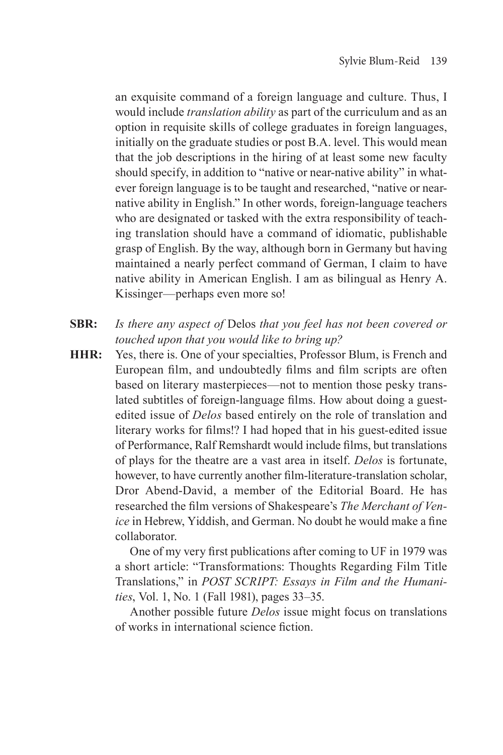an exquisite command of a foreign language and culture. Thus, I would include *translation ability* as part of the curriculum and as an option in requisite skills of college graduates in foreign languages, initially on the graduate studies or post B.A. level. This would mean that the job descriptions in the hiring of at least some new faculty should specify, in addition to "native or near-native ability" in whatever foreign language is to be taught and researched, "native or nearnative ability in English." In other words, foreign-language teachers who are designated or tasked with the extra responsibility of teaching translation should have a command of idiomatic, publishable grasp of English. By the way, although born in Germany but having maintained a nearly perfect command of German, I claim to have native ability in American English. I am as bilingual as Henry A. Kissinger—perhaps even more so!

- **SBR:** *Is there any aspect of* Delos *that you feel has not been covered or touched upon that you would like to bring up?*
- **HHR:** Yes, there is. One of your specialties, Professor Blum, is French and European film, and undoubtedly films and film scripts are often based on literary masterpieces—not to mention those pesky translated subtitles of foreign-language films. How about doing a guestedited issue of *Delos* based entirely on the role of translation and literary works for films!? I had hoped that in his guest-edited issue of Performance, Ralf Remshardt would include films, but translations of plays for the theatre are a vast area in itself. *Delos* is fortunate, however, to have currently another film-literature-translation scholar, Dror Abend-David, a member of the Editorial Board. He has researched the film versions of Shakespeare's *The Merchant of Venice* in Hebrew, Yiddish, and German. No doubt he would make a fine collaborator.

One of my very first publications after coming to UF in 1979 was a short article: "Transformations: Thoughts Regarding Film Title Translations," in *POST SCRIPT: Essays in Film and the Humanities*, Vol. 1, No. 1 (Fall 1981), pages 33–35.

Another possible future *Delos* issue might focus on translations of works in international science fiction.